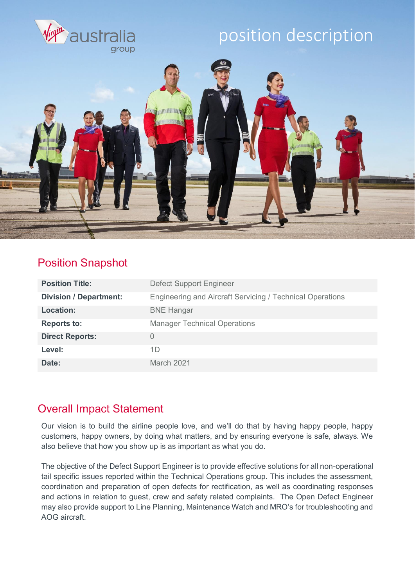

#### Position Snapshot

| <b>Position Title:</b>        | <b>Defect Support Engineer</b>                            |
|-------------------------------|-----------------------------------------------------------|
| <b>Division / Department:</b> | Engineering and Aircraft Servicing / Technical Operations |
| <b>Location:</b>              | <b>BNE Hangar</b>                                         |
| <b>Reports to:</b>            | <b>Manager Technical Operations</b>                       |
| <b>Direct Reports:</b>        | 0                                                         |
| Level:                        | 1D                                                        |
| Date:                         | March 2021                                                |

### Overall Impact Statement

Our vision is to build the airline people love, and we'll do that by having happy people, happy customers, happy owners, by doing what matters, and by ensuring everyone is safe, always. We also believe that how you show up is as important as what you do.

The objective of the Defect Support Engineer is to provide effective solutions for all non-operational tail specific issues reported within the Technical Operations group. This includes the assessment, coordination and preparation of open defects for rectification, as well as coordinating responses and actions in relation to guest, crew and safety related complaints. The Open Defect Engineer may also provide support to Line Planning, Maintenance Watch and MRO's for troubleshooting and AOG aircraft.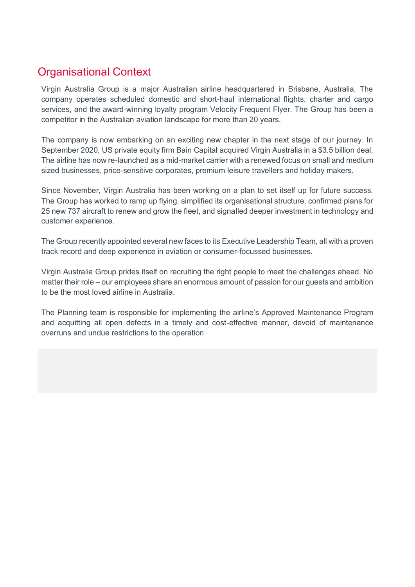### Organisational Context

Virgin Australia Group is a major Australian airline headquartered in Brisbane, Australia. The company operates scheduled domestic and short-haul international flights, charter and cargo services, and the award-winning loyalty program Velocity Frequent Flyer. The Group has been a competitor in the Australian aviation landscape for more than 20 years.

The company is now embarking on an exciting new chapter in the next stage of our journey. In September 2020, US private equity firm Bain Capital acquired Virgin Australia in a \$3.5 billion deal. The airline has now re-launched as a mid-market carrier with a renewed focus on small and medium sized businesses, price-sensitive corporates, premium leisure travellers and holiday makers.

Since November, Virgin Australia has been working on a plan to set itself up for future success. The Group has worked to ramp up flying, simplified its organisational structure, confirmed plans for 25 new 737 aircraft to renew and grow the fleet, and signalled deeper investment in technology and customer experience.

The Group recently appointed several new faces to its Executive Leadership Team, all with a proven track record and deep experience in aviation or consumer-focussed businesses.

Virgin Australia Group prides itself on recruiting the right people to meet the challenges ahead. No matter their role – our employees share an enormous amount of passion for our guests and ambition to be the most loved airline in Australia.

The Planning team is responsible for implementing the airline's Approved Maintenance Program and acquitting all open defects in a timely and cost-effective manner, devoid of maintenance overruns and undue restrictions to the operation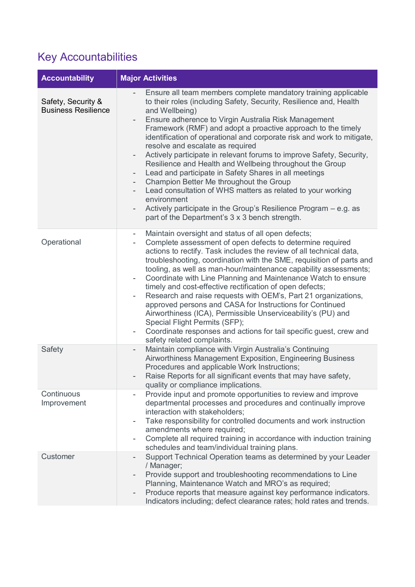## Key Accountabilities

| <b>Accountability</b>                            | <b>Major Activities</b>                                                                                                                                                                                                                                                                                                                                                                                                                                                                                                                                                                                                                                                                                                                                                                                                                                                                                            |  |
|--------------------------------------------------|--------------------------------------------------------------------------------------------------------------------------------------------------------------------------------------------------------------------------------------------------------------------------------------------------------------------------------------------------------------------------------------------------------------------------------------------------------------------------------------------------------------------------------------------------------------------------------------------------------------------------------------------------------------------------------------------------------------------------------------------------------------------------------------------------------------------------------------------------------------------------------------------------------------------|--|
| Safety, Security &<br><b>Business Resilience</b> | Ensure all team members complete mandatory training applicable<br>to their roles (including Safety, Security, Resilience and, Health<br>and Wellbeing)<br>Ensure adherence to Virgin Australia Risk Management<br>Framework (RMF) and adopt a proactive approach to the timely<br>identification of operational and corporate risk and work to mitigate,<br>resolve and escalate as required<br>Actively participate in relevant forums to improve Safety, Security,<br>$\overline{\phantom{a}}$<br>Resilience and Health and Wellbeing throughout the Group<br>Lead and participate in Safety Shares in all meetings<br>Champion Better Me throughout the Group<br>$\overline{\phantom{a}}$<br>Lead consultation of WHS matters as related to your working<br>environment<br>Actively participate in the Group's Resilience Program – e.g. as<br>part of the Department's 3 x 3 bench strength.                   |  |
| Operational                                      | Maintain oversight and status of all open defects;<br>$\overline{\phantom{a}}$<br>Complete assessment of open defects to determine required<br>$\overline{\phantom{a}}$<br>actions to rectify. Task includes the review of all technical data,<br>troubleshooting, coordination with the SME, requisition of parts and<br>tooling, as well as man-hour/maintenance capability assessments;<br>Coordinate with Line Planning and Maintenance Watch to ensure<br>$\overline{\phantom{a}}$<br>timely and cost-effective rectification of open defects;<br>Research and raise requests with OEM's, Part 21 organizations,<br>approved persons and CASA for Instructions for Continued<br>Airworthiness (ICA), Permissible Unserviceability's (PU) and<br>Special Flight Permits (SFP);<br>Coordinate responses and actions for tail specific guest, crew and<br>$\overline{\phantom{a}}$<br>safety related complaints. |  |
| <b>Safety</b>                                    | Maintain compliance with Virgin Australia's Continuing<br>$\overline{\phantom{a}}$<br>Airworthiness Management Exposition, Engineering Business<br>Procedures and applicable Work Instructions;<br>Raise Reports for all significant events that may have safety,<br>$\overline{\phantom{a}}$<br>quality or compliance implications.                                                                                                                                                                                                                                                                                                                                                                                                                                                                                                                                                                               |  |
| Continuous<br>Improvement                        | Provide input and promote opportunities to review and improve<br>departmental processes and procedures and continually improve<br>interaction with stakeholders;<br>Take responsibility for controlled documents and work instruction<br>$\overline{\phantom{a}}$<br>amendments where required;<br>Complete all required training in accordance with induction training<br>$\overline{\phantom{a}}$<br>schedules and team/individual training plans.                                                                                                                                                                                                                                                                                                                                                                                                                                                               |  |
| Customer                                         | Support Technical Operation teams as determined by your Leader<br>/ Manager;<br>Provide support and troubleshooting recommendations to Line<br>Planning, Maintenance Watch and MRO's as required;<br>Produce reports that measure against key performance indicators.<br>$\qquad \qquad -$<br>Indicators including; defect clearance rates; hold rates and trends.                                                                                                                                                                                                                                                                                                                                                                                                                                                                                                                                                 |  |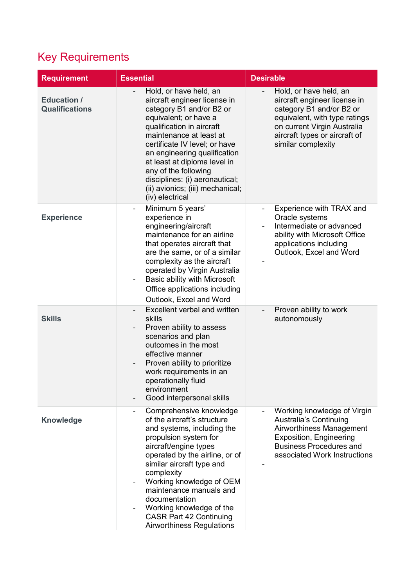## Key Requirements

| <b>Requirement</b>                          | <b>Essential</b>                                                                                                                                                                                                                                                                                                                                                                              | <b>Desirable</b>                                                                                                                                                                                          |
|---------------------------------------------|-----------------------------------------------------------------------------------------------------------------------------------------------------------------------------------------------------------------------------------------------------------------------------------------------------------------------------------------------------------------------------------------------|-----------------------------------------------------------------------------------------------------------------------------------------------------------------------------------------------------------|
| <b>Education /</b><br><b>Qualifications</b> | Hold, or have held, an<br>aircraft engineer license in<br>category B1 and/or B2 or<br>equivalent; or have a<br>qualification in aircraft<br>maintenance at least at<br>certificate IV level; or have<br>an engineering qualification<br>at least at diploma level in<br>any of the following<br>disciplines: (i) aeronautical;<br>(ii) avionics; (iii) mechanical;<br>(iv) electrical         | Hold, or have held, an<br>aircraft engineer license in<br>category B1 and/or B2 or<br>equivalent, with type ratings<br>on current Virgin Australia<br>aircraft types or aircraft of<br>similar complexity |
| <b>Experience</b>                           | Minimum 5 years'<br>$\overline{\phantom{0}}$<br>experience in<br>engineering/aircraft<br>maintenance for an airline<br>that operates aircraft that<br>are the same, or of a similar<br>complexity as the aircraft<br>operated by Virgin Australia<br>Basic ability with Microsoft<br>-<br>Office applications including<br>Outlook, Excel and Word                                            | Experience with TRAX and<br>$\overline{\phantom{a}}$<br>Oracle systems<br>Intermediate or advanced<br>ability with Microsoft Office<br>applications including<br>Outlook, Excel and Word                  |
| <b>Skills</b>                               | Excellent verbal and written<br>$\overline{a}$<br>skills<br>Proven ability to assess<br>scenarios and plan<br>outcomes in the most<br>effective manner<br>Proven ability to prioritize<br>$\overline{\phantom{0}}$<br>work requirements in an<br>operationally fluid<br>environment<br>Good interpersonal skills                                                                              | Proven ability to work<br>autonomously                                                                                                                                                                    |
| <b>Knowledge</b>                            | Comprehensive knowledge<br>of the aircraft's structure<br>and systems, including the<br>propulsion system for<br>aircraft/engine types<br>operated by the airline, or of<br>similar aircraft type and<br>complexity<br>Working knowledge of OEM<br>maintenance manuals and<br>documentation<br>Working knowledge of the<br><b>CASR Part 42 Continuing</b><br><b>Airworthiness Regulations</b> | Working knowledge of Virgin<br><b>Australia's Continuing</b><br>Airworthiness Management<br>Exposition, Engineering<br><b>Business Procedures and</b><br>associated Work Instructions                     |